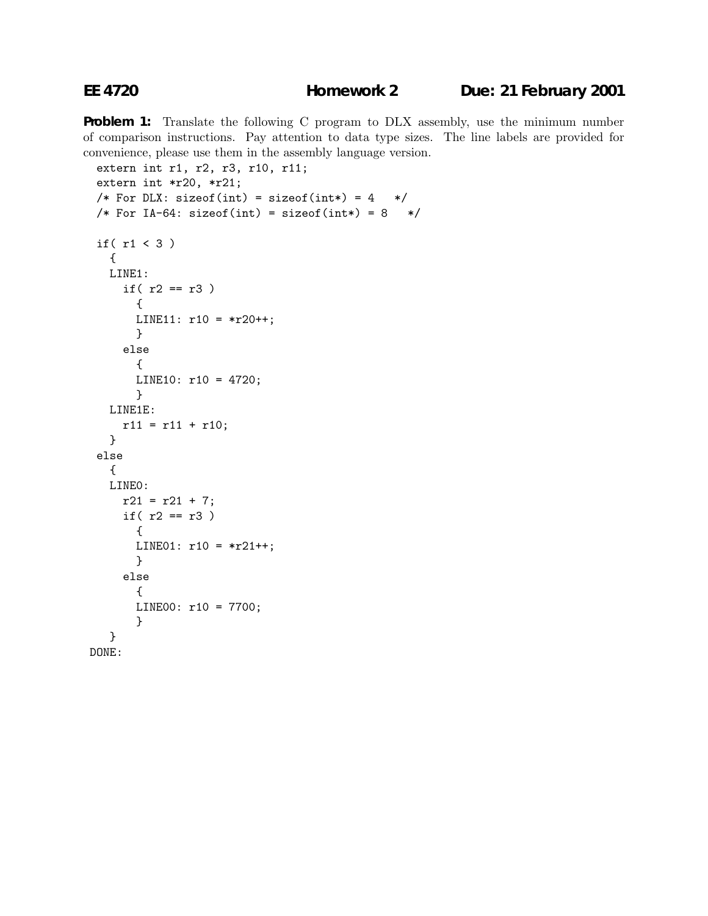**Problem 1:** Translate the following C program to DLX assembly, use the minimum number of comparison instructions. Pay attention to data type sizes. The line labels are provided for convenience, please use them in the assembly language version.

```
extern int r1, r2, r3, r10, r11;
 extern int *r20, *r21;
 /* For DLX: sizeof(int) = sizeof(int*) = 4 */
 /* For IA-64: sizeof(int) = sizeof(int*) = 8 */if( r1 < 3 )
   {
   LINE1:
     if(r2 == r3){
      LINE11: r10 = *r20++;}
     else
       {
      LINE10: r10 = 4720;
       }
   LINE1E:
    r11 = r11 + r10;}
 else
   {
   LINE0:
     r21 = r21 + 7;if(r2 == r3){
       LINE01: r10 = *r21++;}
     else
       {
      LINE00: r10 = 7700;
       }
   }
DONE:
```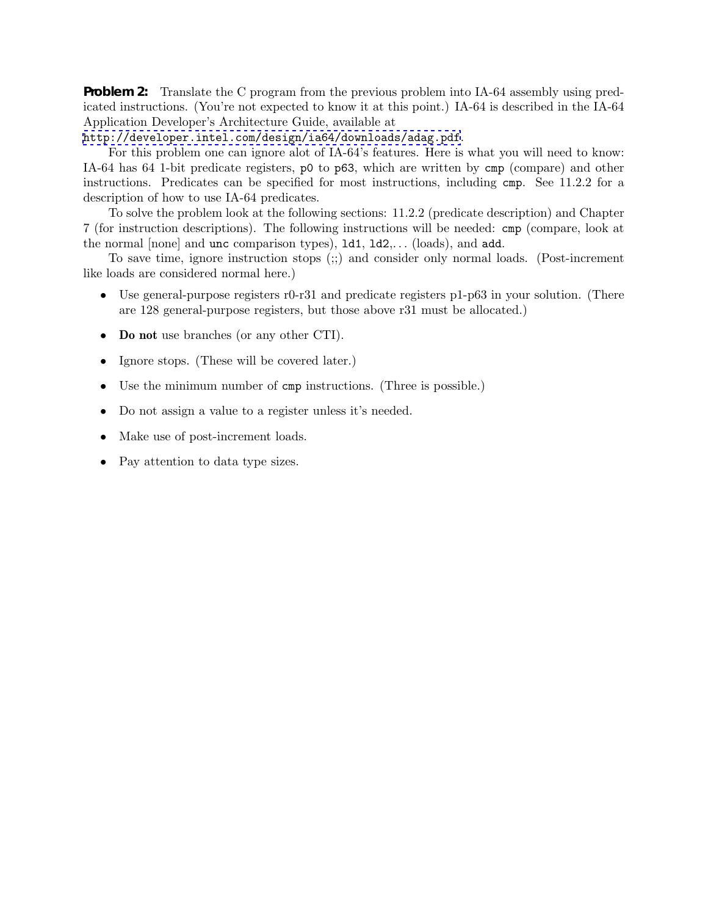**Problem 2:** Translate the C program from the previous problem into IA-64 assembly using predicated instructions. (You're not expected to know it at this point.) IA-64 is described in the IA-64 Application Developer's Architecture Guide, available at

<http://developer.intel.com/design/ia64/downloads/adag.pdf>.

For this problem one can ignore alot of IA-64's features. Here is what you will need to know: IA-64 has 64 1-bit predicate registers, p0 to p63, which are written by cmp (compare) and other instructions. Predicates can be specified for most instructions, including cmp. See 11.2.2 for a description of how to use IA-64 predicates.

To solve the problem look at the following sections: 11.2.2 (predicate description) and Chapter 7 (for instruction descriptions). The following instructions will be needed: cmp (compare, look at the normal [none] and unc comparison types), ld1, ld2,... (loads), and add.

To save time, ignore instruction stops (;;) and consider only normal loads. (Post-increment like loads are considered normal here.)

- Use general-purpose registers  $r0-r31$  and predicate registers  $p1-p63$  in your solution. (There are 128 general-purpose registers, but those above r31 must be allocated.)
- **Do not** use branches (or any other CTI).
- Ignore stops. (These will be covered later.)
- Use the minimum number of cmp instructions. (Three is possible.)
- Do not assign a value to a register unless it's needed.
- Make use of post-increment loads.
- Pay attention to data type sizes.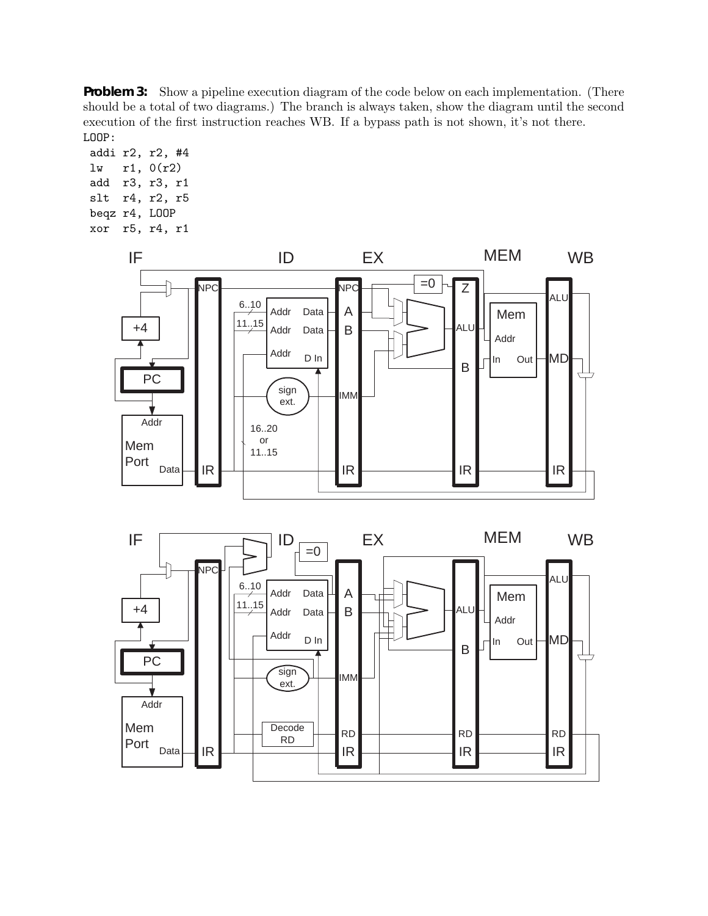**Problem 3:** Show a pipeline execution diagram of the code below on each implementation. (There should be a total of two diagrams.) The branch is always taken, show the diagram until the second execution of the first instruction reaches WB. If a bypass path is not shown, it's not there. LOOP:

addi r2, r2, #4 lw r1, 0(r2) add r3, r3, r1 slt r4, r2, r5 beqz r4, LOOP xor r5, r4, r1

IR

Mem Port

Data



IR

RD

RD RD RD Decode

 $IR$   $R$